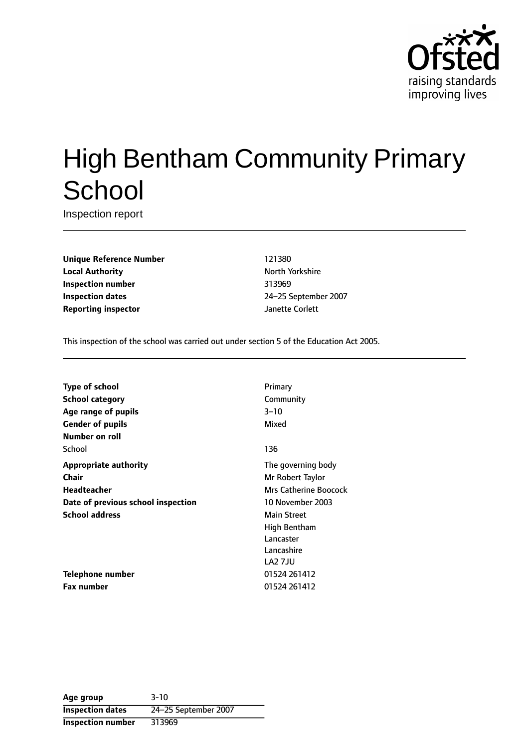

# High Bentham Community Primary **School**

Inspection report

**Unique Reference Number** 121380 **Local Authority North Yorkshire** North Yorkshire **Inspection number** 313969 **Inspection dates** 24-25 September 2007 **Reporting inspector department of the United States Corlett** 

This inspection of the school was carried out under section 5 of the Education Act 2005.

| Type of school                     | Primary                      |
|------------------------------------|------------------------------|
| <b>School category</b>             | Community                    |
| Age range of pupils                | $3 - 10$                     |
| <b>Gender of pupils</b>            | Mixed                        |
| Number on roll                     |                              |
| School                             | 136                          |
| <b>Appropriate authority</b>       | The governing body           |
| <b>Chair</b>                       | Mr Robert Taylor             |
| <b>Headteacher</b>                 | <b>Mrs Catherine Boocock</b> |
| Date of previous school inspection | 10 November 2003             |
| <b>School address</b>              | <b>Main Street</b>           |
|                                    | High Bentham                 |
|                                    | Lancaster                    |
|                                    | Lancashire                   |
|                                    | <b>LA2 7JU</b>               |
| Telephone number                   | 01524 261412                 |
| <b>Fax number</b>                  | 01524 261412                 |

**Age group** 3-10 **Inspection dates** 24-25 September 2007 **Inspection number** 313969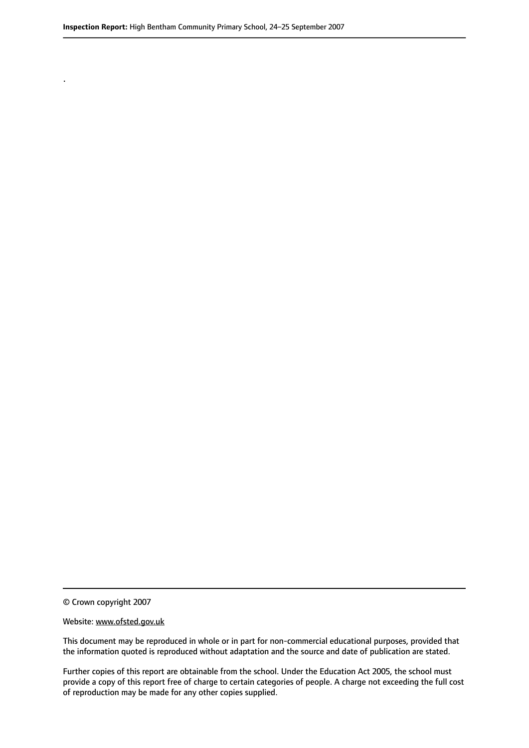© Crown copyright 2007

.

#### Website: www.ofsted.gov.uk

This document may be reproduced in whole or in part for non-commercial educational purposes, provided that the information quoted is reproduced without adaptation and the source and date of publication are stated.

Further copies of this report are obtainable from the school. Under the Education Act 2005, the school must provide a copy of this report free of charge to certain categories of people. A charge not exceeding the full cost of reproduction may be made for any other copies supplied.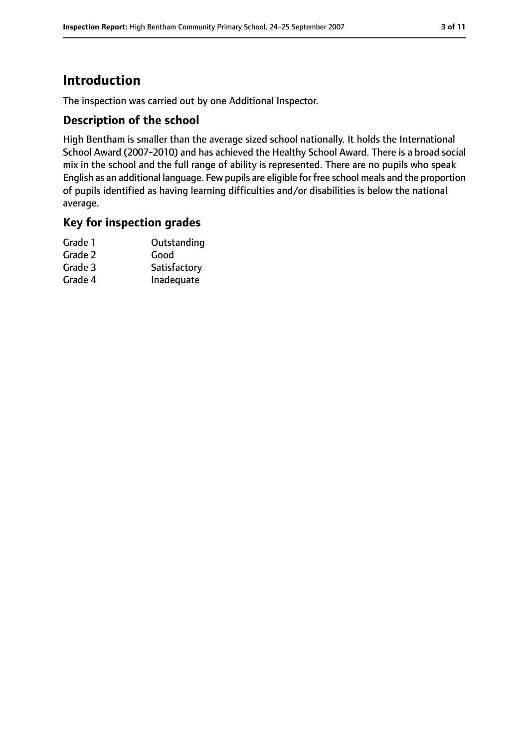# **Introduction**

The inspection was carried out by one Additional Inspector.

# **Description of the school**

High Bentham is smaller than the average sized school nationally. It holds the International School Award (2007-2010) and has achieved the Healthy School Award. There is a broad social mix in the school and the full range of ability is represented. There are no pupils who speak English as an additional language. Few pupils are eligible for free school meals and the proportion of pupils identified as having learning difficulties and/or disabilities is below the national average.

# **Key for inspection grades**

| Grade 1 | Outstanding  |
|---------|--------------|
| Grade 2 | Good         |
| Grade 3 | Satisfactory |
| Grade 4 | Inadequate   |
|         |              |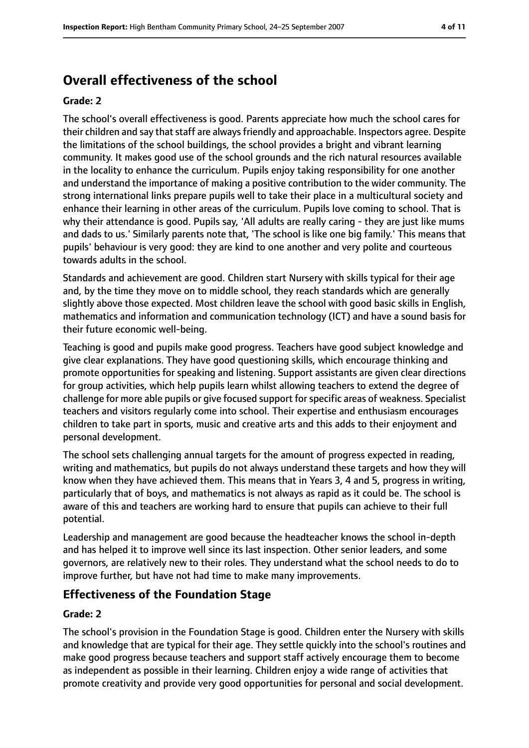# **Overall effectiveness of the school**

#### **Grade: 2**

The school's overall effectiveness is good. Parents appreciate how much the school cares for their children and say that staff are always friendly and approachable. Inspectors agree. Despite the limitations of the school buildings, the school provides a bright and vibrant learning community. It makes good use of the school grounds and the rich natural resources available in the locality to enhance the curriculum. Pupils enjoy taking responsibility for one another and understand the importance of making a positive contribution to the wider community. The strong international links prepare pupils well to take their place in a multicultural society and enhance their learning in other areas of the curriculum. Pupils love coming to school. That is why their attendance is good. Pupils say, 'All adults are really caring - they are just like mums and dads to us.' Similarly parents note that, 'The school is like one big family.' This means that pupils' behaviour is very good: they are kind to one another and very polite and courteous towards adults in the school.

Standards and achievement are good. Children start Nursery with skills typical for their age and, by the time they move on to middle school, they reach standards which are generally slightly above those expected. Most children leave the school with good basic skills in English, mathematics and information and communication technology (ICT) and have a sound basis for their future economic well-being.

Teaching is good and pupils make good progress. Teachers have good subject knowledge and give clear explanations. They have good questioning skills, which encourage thinking and promote opportunities for speaking and listening. Support assistants are given clear directions for group activities, which help pupils learn whilst allowing teachers to extend the degree of challenge for more able pupils or give focused support for specific areas of weakness. Specialist teachers and visitors regularly come into school. Their expertise and enthusiasm encourages children to take part in sports, music and creative arts and this adds to their enjoyment and personal development.

The school sets challenging annual targets for the amount of progress expected in reading, writing and mathematics, but pupils do not always understand these targets and how they will know when they have achieved them. This means that in Years 3, 4 and 5, progress in writing, particularly that of boys, and mathematics is not always as rapid as it could be. The school is aware of this and teachers are working hard to ensure that pupils can achieve to their full potential.

Leadership and management are good because the headteacher knows the school in-depth and has helped it to improve well since its last inspection. Other senior leaders, and some governors, are relatively new to their roles. They understand what the school needs to do to improve further, but have not had time to make many improvements.

# **Effectiveness of the Foundation Stage**

#### **Grade: 2**

The school's provision in the Foundation Stage is good. Children enter the Nursery with skills and knowledge that are typical for their age. They settle quickly into the school's routines and make good progress because teachers and support staff actively encourage them to become as independent as possible in their learning. Children enjoy a wide range of activities that promote creativity and provide very good opportunities for personal and social development.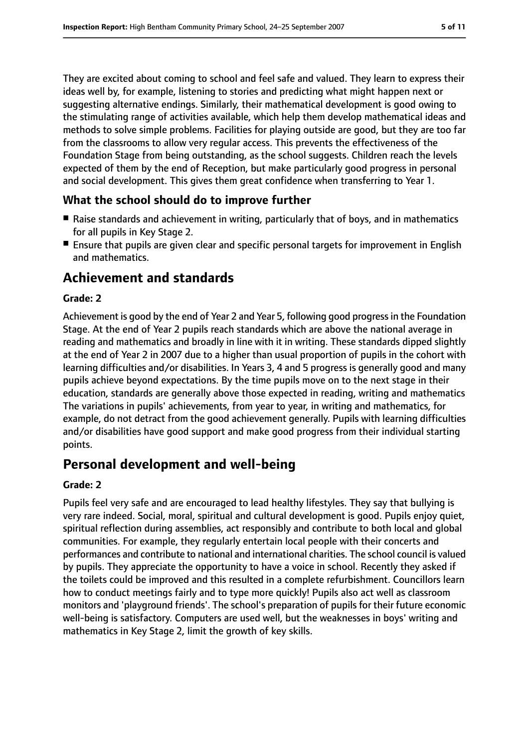They are excited about coming to school and feel safe and valued. They learn to express their ideas well by, for example, listening to stories and predicting what might happen next or suggesting alternative endings. Similarly, their mathematical development is good owing to the stimulating range of activities available, which help them develop mathematical ideas and methods to solve simple problems. Facilities for playing outside are good, but they are too far from the classrooms to allow very regular access. This prevents the effectiveness of the Foundation Stage from being outstanding, as the school suggests. Children reach the levels expected of them by the end of Reception, but make particularly good progress in personal and social development. This gives them great confidence when transferring to Year 1.

# **What the school should do to improve further**

- Raise standards and achievement in writing, particularly that of boys, and in mathematics for all pupils in Key Stage 2.
- Ensure that pupils are given clear and specific personal targets for improvement in English and mathematics.

# **Achievement and standards**

## **Grade: 2**

Achievement is good by the end of Year 2 and Year 5, following good progressin the Foundation Stage. At the end of Year 2 pupils reach standards which are above the national average in reading and mathematics and broadly in line with it in writing. These standards dipped slightly at the end of Year 2 in 2007 due to a higher than usual proportion of pupils in the cohort with learning difficulties and/or disabilities. In Years 3, 4 and 5 progress is generally good and many pupils achieve beyond expectations. By the time pupils move on to the next stage in their education, standards are generally above those expected in reading, writing and mathematics The variations in pupils' achievements, from year to year, in writing and mathematics, for example, do not detract from the good achievement generally. Pupils with learning difficulties and/or disabilities have good support and make good progress from their individual starting points.

# **Personal development and well-being**

#### **Grade: 2**

Pupils feel very safe and are encouraged to lead healthy lifestyles. They say that bullying is very rare indeed. Social, moral, spiritual and cultural development is good. Pupils enjoy quiet, spiritual reflection during assemblies, act responsibly and contribute to both local and global communities. For example, they regularly entertain local people with their concerts and performances and contribute to national and international charities. The school council is valued by pupils. They appreciate the opportunity to have a voice in school. Recently they asked if the toilets could be improved and this resulted in a complete refurbishment. Councillors learn how to conduct meetings fairly and to type more quickly! Pupils also act well as classroom monitors and 'playground friends'. The school's preparation of pupils for their future economic well-being is satisfactory. Computers are used well, but the weaknesses in boys' writing and mathematics in Key Stage 2, limit the growth of key skills.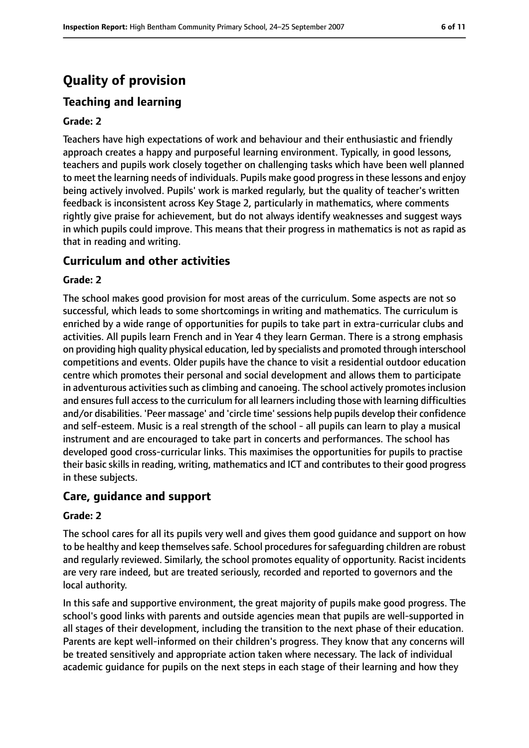# **Quality of provision**

# **Teaching and learning**

#### **Grade: 2**

Teachers have high expectations of work and behaviour and their enthusiastic and friendly approach creates a happy and purposeful learning environment. Typically, in good lessons, teachers and pupils work closely together on challenging tasks which have been well planned to meet the learning needs of individuals. Pupils make good progressin these lessons and enjoy being actively involved. Pupils' work is marked regularly, but the quality of teacher's written feedback is inconsistent across Key Stage 2, particularly in mathematics, where comments rightly give praise for achievement, but do not always identify weaknesses and suggest ways in which pupils could improve. This means that their progress in mathematics is not as rapid as that in reading and writing.

# **Curriculum and other activities**

#### **Grade: 2**

The school makes good provision for most areas of the curriculum. Some aspects are not so successful, which leads to some shortcomings in writing and mathematics. The curriculum is enriched by a wide range of opportunities for pupils to take part in extra-curricular clubs and activities. All pupils learn French and in Year 4 they learn German. There is a strong emphasis on providing high quality physical education, led by specialists and promoted through interschool competitions and events. Older pupils have the chance to visit a residential outdoor education centre which promotes their personal and social development and allows them to participate in adventurous activities such as climbing and canoeing. The school actively promotes inclusion and ensures full access to the curriculum for all learners including those with learning difficulties and/or disabilities. 'Peer massage' and 'circle time'sessions help pupils develop their confidence and self-esteem. Music is a real strength of the school - all pupils can learn to play a musical instrument and are encouraged to take part in concerts and performances. The school has developed good cross-curricular links. This maximises the opportunities for pupils to practise their basic skills in reading, writing, mathematics and ICT and contributes to their good progress in these subjects.

# **Care, guidance and support**

#### **Grade: 2**

The school cares for all its pupils very well and gives them good guidance and support on how to be healthy and keep themselves safe. School procedures for safeguarding children are robust and regularly reviewed. Similarly, the school promotes equality of opportunity. Racist incidents are very rare indeed, but are treated seriously, recorded and reported to governors and the local authority.

In this safe and supportive environment, the great majority of pupils make good progress. The school's good links with parents and outside agencies mean that pupils are well-supported in all stages of their development, including the transition to the next phase of their education. Parents are kept well-informed on their children's progress. They know that any concerns will be treated sensitively and appropriate action taken where necessary. The lack of individual academic guidance for pupils on the next steps in each stage of their learning and how they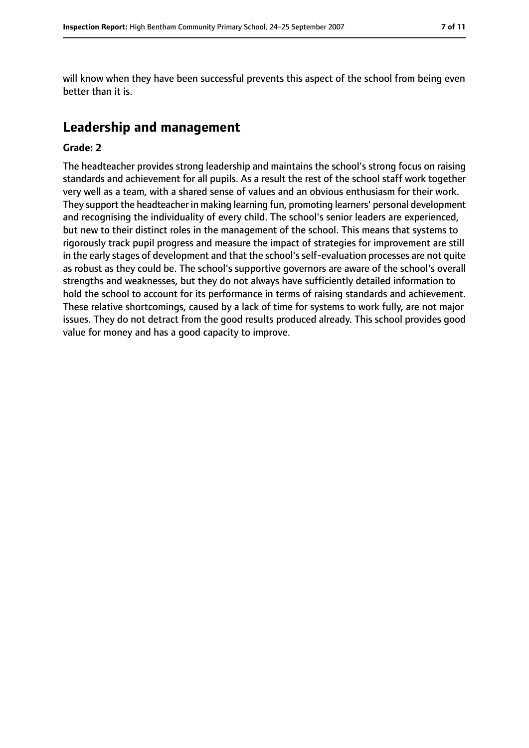will know when they have been successful prevents this aspect of the school from being even better than it is.

# **Leadership and management**

#### **Grade: 2**

The headteacher provides strong leadership and maintains the school's strong focus on raising standards and achievement for all pupils. As a result the rest of the school staff work together very well as a team, with a shared sense of values and an obvious enthusiasm for their work. They support the headteacher in making learning fun, promoting learners' personal development and recognising the individuality of every child. The school's senior leaders are experienced, but new to their distinct roles in the management of the school. This means that systems to rigorously track pupil progress and measure the impact of strategies for improvement are still in the early stages of development and that the school's self-evaluation processes are not quite as robust as they could be. The school's supportive governors are aware of the school's overall strengths and weaknesses, but they do not always have sufficiently detailed information to hold the school to account for its performance in terms of raising standards and achievement. These relative shortcomings, caused by a lack of time for systems to work fully, are not major issues. They do not detract from the good results produced already. This school provides good value for money and has a good capacity to improve.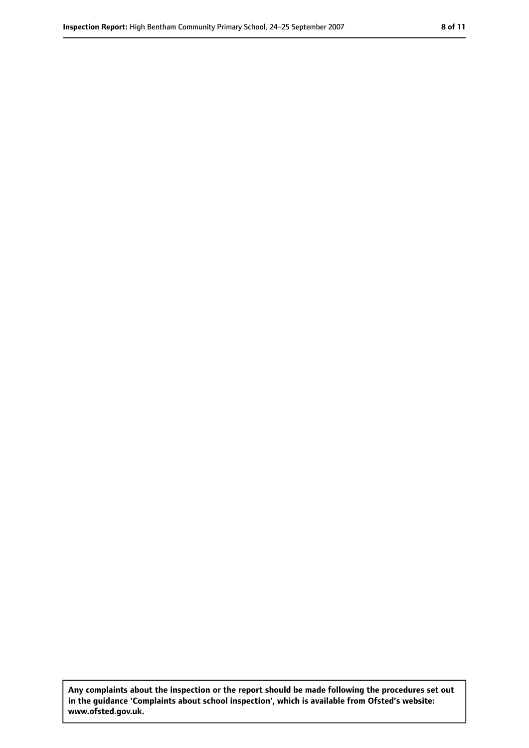**Any complaints about the inspection or the report should be made following the procedures set out in the guidance 'Complaints about school inspection', which is available from Ofsted's website: www.ofsted.gov.uk.**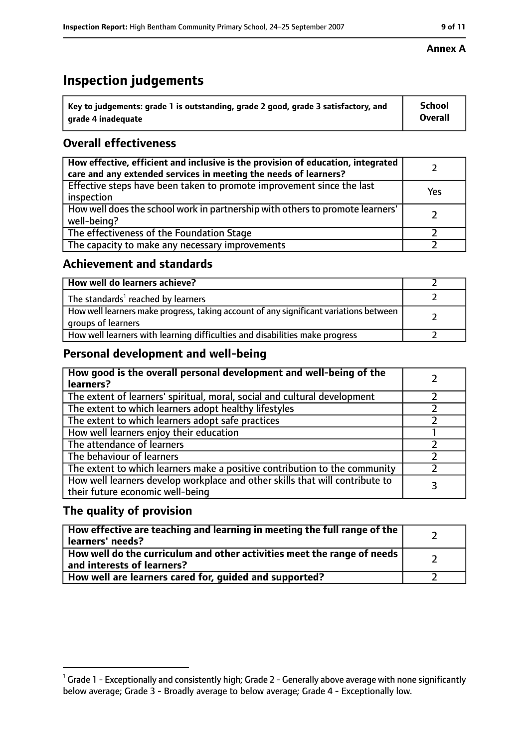# **Inspection judgements**

| $^{\backprime}$ Key to judgements: grade 1 is outstanding, grade 2 good, grade 3 satisfactory, and | School         |
|----------------------------------------------------------------------------------------------------|----------------|
| arade 4 inadequate                                                                                 | <b>Overall</b> |

# **Overall effectiveness**

| How effective, efficient and inclusive is the provision of education, integrated<br>care and any extended services in meeting the needs of learners? |     |
|------------------------------------------------------------------------------------------------------------------------------------------------------|-----|
| Effective steps have been taken to promote improvement since the last<br>inspection                                                                  | Yes |
| How well does the school work in partnership with others to promote learners'<br>well-being?                                                         |     |
| The effectiveness of the Foundation Stage                                                                                                            |     |
| The capacity to make any necessary improvements                                                                                                      |     |

# **Achievement and standards**

| How well do learners achieve?                                                                               |  |
|-------------------------------------------------------------------------------------------------------------|--|
| The standards <sup>1</sup> reached by learners                                                              |  |
| How well learners make progress, taking account of any significant variations between<br>groups of learners |  |
| How well learners with learning difficulties and disabilities make progress                                 |  |

# **Personal development and well-being**

| How good is the overall personal development and well-being of the<br>learners?                                  |  |
|------------------------------------------------------------------------------------------------------------------|--|
| The extent of learners' spiritual, moral, social and cultural development                                        |  |
| The extent to which learners adopt healthy lifestyles                                                            |  |
| The extent to which learners adopt safe practices                                                                |  |
| How well learners enjoy their education                                                                          |  |
| The attendance of learners                                                                                       |  |
| The behaviour of learners                                                                                        |  |
| The extent to which learners make a positive contribution to the community                                       |  |
| How well learners develop workplace and other skills that will contribute to<br>their future economic well-being |  |

# **The quality of provision**

| How effective are teaching and learning in meeting the full range of the<br>learners' needs?          |  |
|-------------------------------------------------------------------------------------------------------|--|
| How well do the curriculum and other activities meet the range of needs<br>and interests of learners? |  |
| How well are learners cared for, guided and supported?                                                |  |

## **Annex A**

 $^1$  Grade 1 - Exceptionally and consistently high; Grade 2 - Generally above average with none significantly below average; Grade 3 - Broadly average to below average; Grade 4 - Exceptionally low.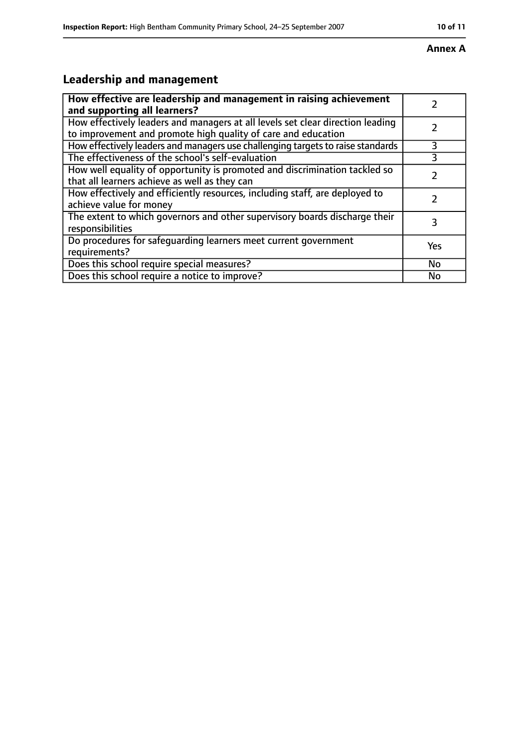#### **Annex A**

# **Leadership and management**

| How effective are leadership and management in raising achievement<br>and supporting all learners?                                              |           |
|-------------------------------------------------------------------------------------------------------------------------------------------------|-----------|
| How effectively leaders and managers at all levels set clear direction leading<br>to improvement and promote high quality of care and education |           |
| How effectively leaders and managers use challenging targets to raise standards                                                                 | 3         |
| The effectiveness of the school's self-evaluation                                                                                               | 3         |
| How well equality of opportunity is promoted and discrimination tackled so<br>that all learners achieve as well as they can                     |           |
| How effectively and efficiently resources, including staff, are deployed to<br>achieve value for money                                          | 7         |
| The extent to which governors and other supervisory boards discharge their<br>responsibilities                                                  | 3         |
| Do procedures for safequarding learners meet current government<br>requirements?                                                                | Yes       |
| Does this school require special measures?                                                                                                      | <b>No</b> |
| Does this school require a notice to improve?                                                                                                   | No        |